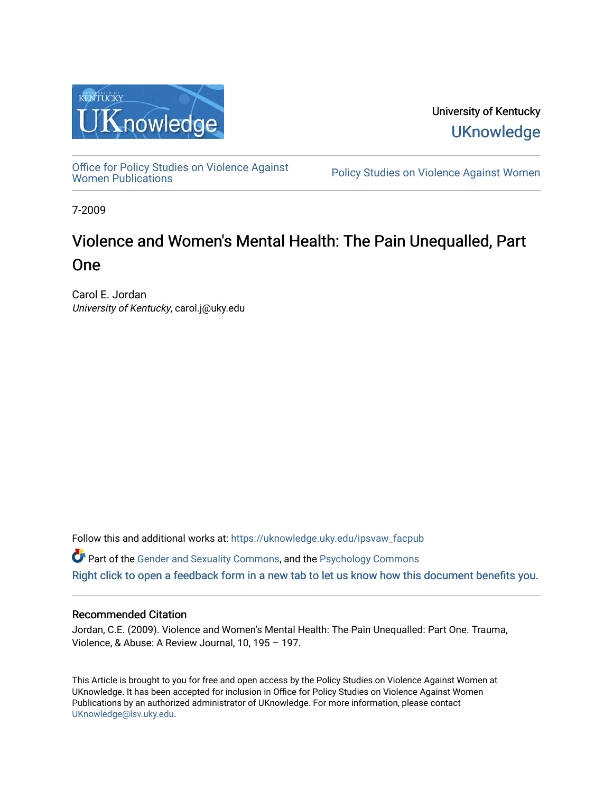

University of Kentucky **UKnowledge** 

[Office for Policy Studies on Violence Against](https://uknowledge.uky.edu/ipsvaw_facpub)

Policy Studies on Violence Against Women

7-2009

# Violence and Women's Mental Health: The Pain Unequalled, Part One

Carol E. Jordan University of Kentucky, carol.j@uky.edu

Follow this and additional works at: [https://uknowledge.uky.edu/ipsvaw\\_facpub](https://uknowledge.uky.edu/ipsvaw_facpub?utm_source=uknowledge.uky.edu%2Fipsvaw_facpub%2F4&utm_medium=PDF&utm_campaign=PDFCoverPages) 

Part of the [Gender and Sexuality Commons](http://network.bepress.com/hgg/discipline/420?utm_source=uknowledge.uky.edu%2Fipsvaw_facpub%2F4&utm_medium=PDF&utm_campaign=PDFCoverPages), and the [Psychology Commons](http://network.bepress.com/hgg/discipline/404?utm_source=uknowledge.uky.edu%2Fipsvaw_facpub%2F4&utm_medium=PDF&utm_campaign=PDFCoverPages)  [Right click to open a feedback form in a new tab to let us know how this document benefits you.](https://uky.az1.qualtrics.com/jfe/form/SV_9mq8fx2GnONRfz7)

### Recommended Citation

Jordan, C.E. (2009). Violence and Women's Mental Health: The Pain Unequalled: Part One. Trauma, Violence, & Abuse: A Review Journal, 10, 195 – 197.

This Article is brought to you for free and open access by the Policy Studies on Violence Against Women at UKnowledge. It has been accepted for inclusion in Office for Policy Studies on Violence Against Women Publications by an authorized administrator of UKnowledge. For more information, please contact [UKnowledge@lsv.uky.edu.](mailto:UKnowledge@lsv.uky.edu)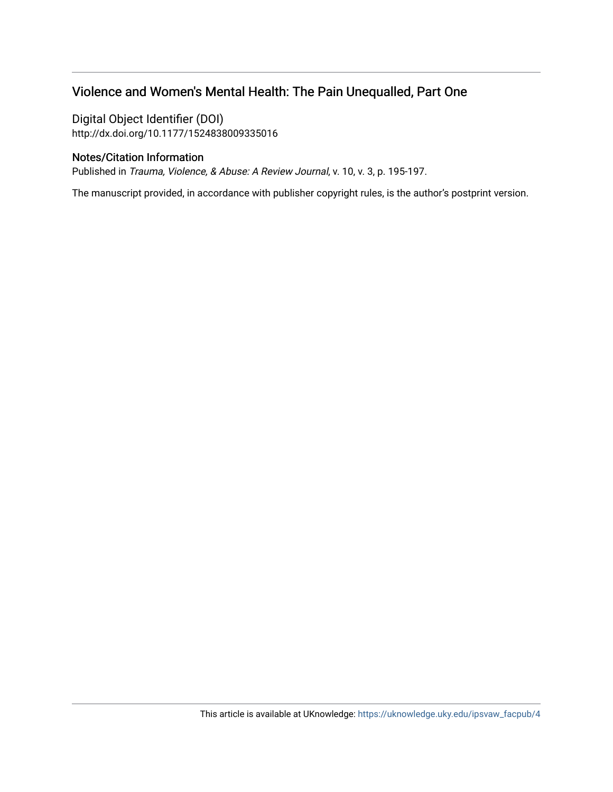# Violence and Women's Mental Health: The Pain Unequalled, Part One

Digital Object Identifier (DOI) http://dx.doi.org/10.1177/1524838009335016

## Notes/Citation Information

Published in Trauma, Violence, & Abuse: A Review Journal, v. 10, v. 3, p. 195-197.

The manuscript provided, in accordance with publisher copyright rules, is the author's postprint version.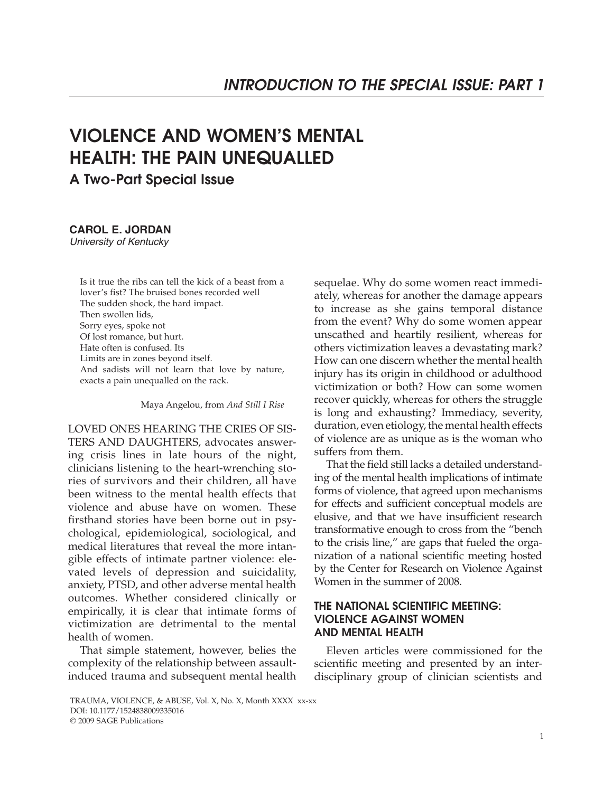# Violence and Women's Mental Health: The Pain Unequalled A Two-Part Special Issue

**Carol E. Jordan**

*University of Kentucky*

Is it true the ribs can tell the kick of a beast from a lover's fist? The bruised bones recorded well The sudden shock, the hard impact. Then swollen lids, Sorry eyes, spoke not Of lost romance, but hurt. Hate often is confused. Its Limits are in zones beyond itself. And sadists will not learn that love by nature, exacts a pain unequalled on the rack.

Maya Angelou, from *And Still I Rise*

LOVED ONES HEARING THE CRIES OF SIS-TERS AND DAUGHTERS, advocates answering crisis lines in late hours of the night, clinicians listening to the heart-wrenching stories of survivors and their children, all have been witness to the mental health effects that violence and abuse have on women. These firsthand stories have been borne out in psychological, epidemiological, sociological, and medical literatures that reveal the more intangible effects of intimate partner violence: elevated levels of depression and suicidality, anxiety, PTSD, and other adverse mental health outcomes. Whether considered clinically or empirically, it is clear that intimate forms of victimization are detrimental to the mental health of women.

That simple statement, however, belies the complexity of the relationship between assaultinduced trauma and subsequent mental health sequelae. Why do some women react immediately, whereas for another the damage appears to increase as she gains temporal distance from the event? Why do some women appear unscathed and heartily resilient, whereas for others victimization leaves a devastating mark? How can one discern whether the mental health injury has its origin in childhood or adulthood victimization or both? How can some women recover quickly, whereas for others the struggle is long and exhausting? Immediacy, severity, duration, even etiology, the mental health effects of violence are as unique as is the woman who suffers from them.

That the field still lacks a detailed understanding of the mental health implications of intimate forms of violence, that agreed upon mechanisms for effects and sufficient conceptual models are elusive, and that we have insufficient research transformative enough to cross from the "bench to the crisis line," are gaps that fueled the organization of a national scientific meeting hosted by the Center for Research on Violence Against Women in the summer of 2008.

### The National Scientific Meeting: Violence Against Women and Mental Health

Eleven articles were commissioned for the scientific meeting and presented by an interdisciplinary group of clinician scientists and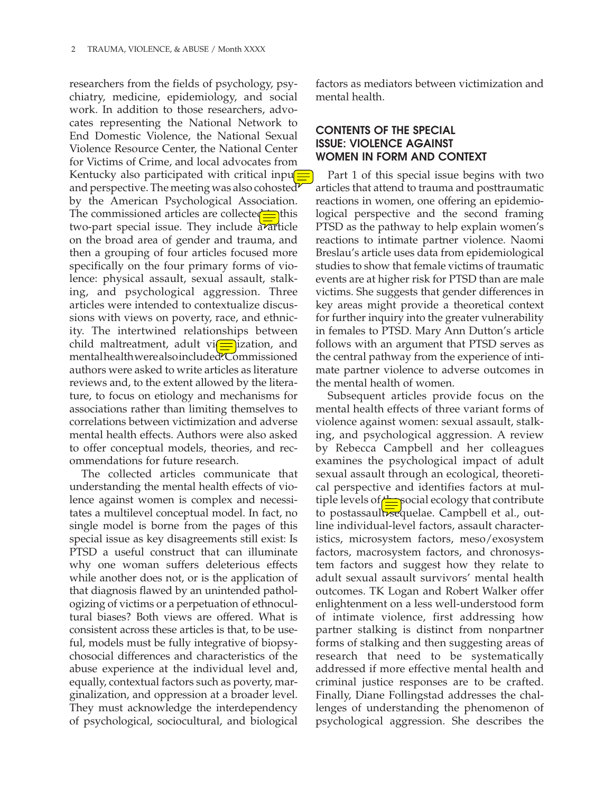researchers from the fields of psychology, psychiatry, medicine, epidemiology, and social work. In addition to those researchers, advocates representing the National Network to End Domestic Violence, the National Sexual Violence Resource Center, the National Center for Victims of Crime, and local advocates from Kentucky also participated with critical inpu $\equiv$ and perspective. The meeting was also cohosted by the American Psychological Association. The commissioned articles are collected in this two-part special issue. They include a  $\alpha$ article on the broad area of gender and trauma, and then a grouping of four articles focused more specifically on the four primary forms of violence: physical assault, sexual assault, stalking, and psychological aggression. Three articles were intended to contextualize discussions with views on poverty, race, and ethnicity. The intertwined relationships between child maltreatment, adult vi $\equiv$ ization, and mental health were also included. Commissioned authors were asked to write articles as literature reviews and, to the extent allowed by the literature, to focus on etiology and mechanisms for associations rather than limiting themselves to correlations between victimization and adverse mental health effects. Authors were also asked to offer conceptual models, theories, and recommendations for future research.

The collected articles communicate that understanding the mental health effects of violence against women is complex and necessitates a multilevel conceptual model. In fact, no single model is borne from the pages of this special issue as key disagreements still exist: Is PTSD a useful construct that can illuminate why one woman suffers deleterious effects while another does not, or is the application of that diagnosis flawed by an unintended pathologizing of victims or a perpetuation of ethnocultural biases? Both views are offered. What is consistent across these articles is that, to be useful, models must be fully integrative of biopsychosocial differences and characteristics of the abuse experience at the individual level and, equally, contextual factors such as poverty, marginalization, and oppression at a broader level. They must acknowledge the interdependency of psychological, sociocultural, and biological

factors as mediators between victimization and mental health.

#### Contents of the Special Issue: Violence Against Women in Form and Context

Part 1 of this special issue begins with two articles that attend to trauma and posttraumatic reactions in women, one offering an epidemiological perspective and the second framing PTSD as the pathway to help explain women's reactions to intimate partner violence. Naomi Breslau's article uses data from epidemiological studies to show that female victims of traumatic events are at higher risk for PTSD than are male victims. She suggests that gender differences in key areas might provide a theoretical context for further inquiry into the greater vulnerability in females to PTSD. Mary Ann Dutton's article follows with an argument that PTSD serves as the central pathway from the experience of intimate partner violence to adverse outcomes in the mental health of women.

Subsequent articles provide focus on the mental health effects of three variant forms of violence against women: sexual assault, stalking, and psychological aggression. A review by Rebecca Campbell and her colleagues examines the psychological impact of adult sexual assault through an ecological, theoretical perspective and identifies factors at multiple levels of  $t$  social ecology that contribute to postassaultzsequelae. Campbell et al., outline individual-level factors, assault characteristics, microsystem factors, meso/exosystem factors, macrosystem factors, and chronosystem factors and suggest how they relate to adult sexual assault survivors' mental health outcomes. TK Logan and Robert Walker offer enlightenment on a less well-understood form of intimate violence, first addressing how partner stalking is distinct from nonpartner forms of stalking and then suggesting areas of research that need to be systematically addressed if more effective mental health and criminal justice responses are to be crafted. Finally, Diane Follingstad addresses the challenges of understanding the phenomenon of psychological aggression. She describes the